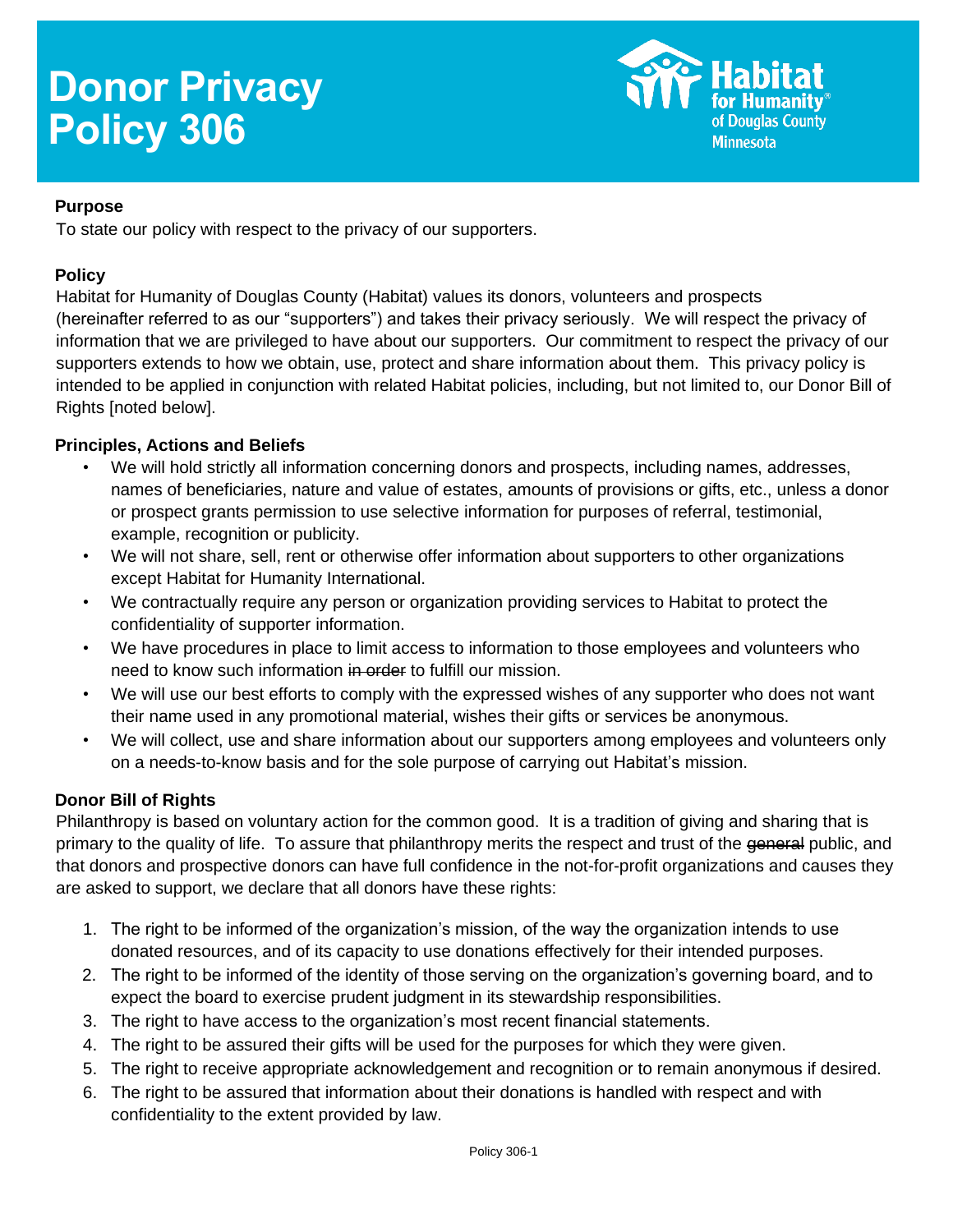# **Donor Privacy Policy 306**



#### **Purpose**

To state our policy with respect to the privacy of our supporters.

#### **Policy**

Habitat for Humanity of Douglas County (Habitat) values its donors, volunteers and prospects (hereinafter referred to as our "supporters") and takes their privacy seriously. We will respect the privacy of information that we are privileged to have about our supporters. Our commitment to respect the privacy of our supporters extends to how we obtain, use, protect and share information about them. This privacy policy is intended to be applied in conjunction with related Habitat policies, including, but not limited to, our Donor Bill of Rights [noted below].

## **Principles, Actions and Beliefs**

- We will hold strictly all information concerning donors and prospects, including names, addresses, names of beneficiaries, nature and value of estates, amounts of provisions or gifts, etc., unless a donor or prospect grants permission to use selective information for purposes of referral, testimonial, example, recognition or publicity.
- We will not share, sell, rent or otherwise offer information about supporters to other organizations except Habitat for Humanity International.
- We contractually require any person or organization providing services to Habitat to protect the confidentiality of supporter information.
- We have procedures in place to limit access to information to those employees and volunteers who need to know such information in order to fulfill our mission.
- We will use our best efforts to comply with the expressed wishes of any supporter who does not want their name used in any promotional material, wishes their gifts or services be anonymous.
- We will collect, use and share information about our supporters among employees and volunteers only on a needs-to-know basis and for the sole purpose of carrying out Habitat's mission.

## **Donor Bill of Rights**

Philanthropy is based on voluntary action for the common good. It is a tradition of giving and sharing that is primary to the quality of life. To assure that philanthropy merits the respect and trust of the general public, and that donors and prospective donors can have full confidence in the not-for-profit organizations and causes they are asked to support, we declare that all donors have these rights:

- 1. The right to be informed of the organization's mission, of the way the organization intends to use donated resources, and of its capacity to use donations effectively for their intended purposes.
- 2. The right to be informed of the identity of those serving on the organization's governing board, and to expect the board to exercise prudent judgment in its stewardship responsibilities.
- 3. The right to have access to the organization's most recent financial statements.
- 4. The right to be assured their gifts will be used for the purposes for which they were given.
- 5. The right to receive appropriate acknowledgement and recognition or to remain anonymous if desired.
- 6. The right to be assured that information about their donations is handled with respect and with confidentiality to the extent provided by law.